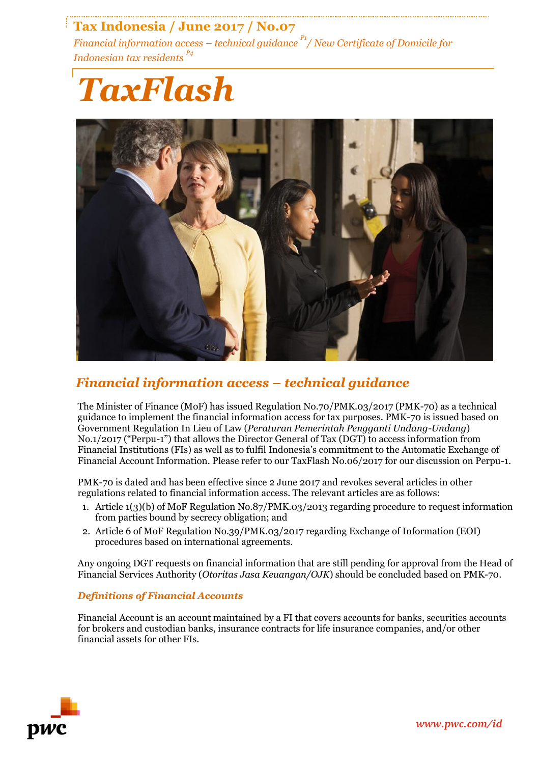# **Tax Indonesia / June 2017 / No.07**

*Financial information access – technical guidance P1 / New Certificate of Domicile for Indonesian tax residents P4*

# *TaxFlash*



## *Financial information access – technical guidance*

The Minister of Finance (MoF) has issued Regulation No.70/PMK.03/2017 (PMK-70) as a technical guidance to implement the financial information access for tax purposes. PMK-70 is issued based on Government Regulation In Lieu of Law (*Peraturan Pemerintah Pengganti Undang-Undang*) No.1/2017 ("Perpu-1") that allows the Director General of Tax (DGT) to access information from Financial Institutions (FIs) as well as to fulfil Indonesia's commitment to the Automatic Exchange of Financial Account Information. Please refer to our TaxFlash No.06/2017 for our discussion on Perpu-1.

PMK-70 is dated and has been effective since 2 June 2017 and revokes several articles in other regulations related to financial information access. The relevant articles are as follows:

- 1. Article 1(3)(b) of MoF Regulation No.87/PMK.03/2013 regarding procedure to request information from parties bound by secrecy obligation; and
- 2. Article 6 of MoF Regulation No.39/PMK.03/2017 regarding Exchange of Information (EOI) procedures based on international agreements.

Any ongoing DGT requests on financial information that are still pending for approval from the Head of Financial Services Authority (*Otoritas Jasa Keuangan/OJK*) should be concluded based on PMK-70.

## *Definitions of Financial Accounts*

Financial Account is an account maintained by a FI that covers accounts for banks, securities accounts for brokers and custodian banks, insurance contracts for life insurance companies, and/or other financial assets for other FIs.

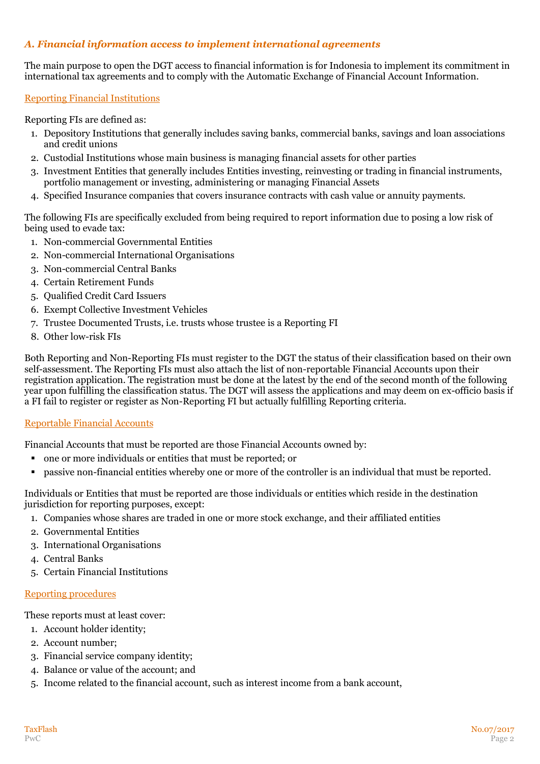## *A. Financial information access to implement international agreements*

The main purpose to open the DGT access to financial information is for Indonesia to implement its commitment in international tax agreements and to comply with the Automatic Exchange of Financial Account Information.

#### Reporting Financial Institutions

Reporting FIs are defined as:

- 1. Depository Institutions that generally includes saving banks, commercial banks, savings and loan associations and credit unions
- 2. Custodial Institutions whose main business is managing financial assets for other parties
- 3. Investment Entities that generally includes Entities investing, reinvesting or trading in financial instruments, portfolio management or investing, administering or managing Financial Assets
- 4. Specified Insurance companies that covers insurance contracts with cash value or annuity payments.

The following FIs are specifically excluded from being required to report information due to posing a low risk of being used to evade tax:

- 1. Non-commercial Governmental Entities
- 2. Non-commercial International Organisations
- 3. Non-commercial Central Banks
- 4. Certain Retirement Funds
- 5. Qualified Credit Card Issuers
- 6. Exempt Collective Investment Vehicles
- 7. Trustee Documented Trusts, i.e. trusts whose trustee is a Reporting FI
- 8. Other low-risk FIs

Both Reporting and Non-Reporting FIs must register to the DGT the status of their classification based on their own self-assessment. The Reporting FIs must also attach the list of non-reportable Financial Accounts upon their registration application. The registration must be done at the latest by the end of the second month of the following year upon fulfilling the classification status. The DGT will assess the applications and may deem on ex-officio basis if a FI fail to register or register as Non-Reporting FI but actually fulfilling Reporting criteria.

#### Reportable Financial Accounts

Financial Accounts that must be reported are those Financial Accounts owned by:

- one or more individuals or entities that must be reported; or
- passive non-financial entities whereby one or more of the controller is an individual that must be reported.

Individuals or Entities that must be reported are those individuals or entities which reside in the destination jurisdiction for reporting purposes, except:

- 1. Companies whose shares are traded in one or more stock exchange, and their affiliated entities
- 2. Governmental Entities
- 3. International Organisations
- 4. Central Banks
- 5. Certain Financial Institutions

#### Reporting procedures

These reports must at least cover:

- 1. Account holder identity;
- 2. Account number;
- 3. Financial service company identity;
- 4. Balance or value of the account; and
- 5. Income related to the financial account, such as interest income from a bank account,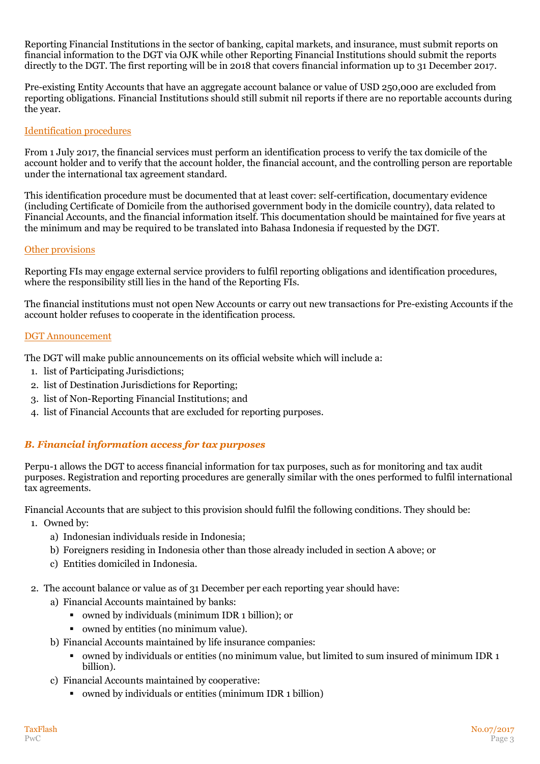Reporting Financial Institutions in the sector of banking, capital markets, and insurance, must submit reports on financial information to the DGT via OJK while other Reporting Financial Institutions should submit the reports directly to the DGT. The first reporting will be in 2018 that covers financial information up to 31 December 2017.

Pre-existing Entity Accounts that have an aggregate account balance or value of USD 250,000 are excluded from reporting obligations. Financial Institutions should still submit nil reports if there are no reportable accounts during the year.

#### Identification procedures

From 1 July 2017, the financial services must perform an identification process to verify the tax domicile of the account holder and to verify that the account holder, the financial account, and the controlling person are reportable under the international tax agreement standard.

This identification procedure must be documented that at least cover: self-certification, documentary evidence (including Certificate of Domicile from the authorised government body in the domicile country), data related to Financial Accounts, and the financial information itself. This documentation should be maintained for five years at the minimum and may be required to be translated into Bahasa Indonesia if requested by the DGT.

#### Other provisions

Reporting FIs may engage external service providers to fulfil reporting obligations and identification procedures, where the responsibility still lies in the hand of the Reporting FIs.

The financial institutions must not open New Accounts or carry out new transactions for Pre-existing Accounts if the account holder refuses to cooperate in the identification process.

#### DGT Announcement

The DGT will make public announcements on its official website which will include a:

- 1. list of Participating Jurisdictions;
- 2. list of Destination Jurisdictions for Reporting;
- 3. list of Non-Reporting Financial Institutions; and
- 4. list of Financial Accounts that are excluded for reporting purposes.

## *B. Financial information access for tax purposes*

Perpu-1 allows the DGT to access financial information for tax purposes, such as for monitoring and tax audit purposes. Registration and reporting procedures are generally similar with the ones performed to fulfil international tax agreements.

Financial Accounts that are subject to this provision should fulfil the following conditions. They should be:

- 1. Owned by:
	- a) Indonesian individuals reside in Indonesia;
	- b) Foreigners residing in Indonesia other than those already included in section A above; or
	- c) Entities domiciled in Indonesia.
- 2. The account balance or value as of 31 December per each reporting year should have:
	- a) Financial Accounts maintained by banks:
		- owned by individuals (minimum IDR 1 billion); or
		- owned by entities (no minimum value).
	- b) Financial Accounts maintained by life insurance companies:
		- owned by individuals or entities (no minimum value, but limited to sum insured of minimum IDR 1 billion).
	- c) Financial Accounts maintained by cooperative:
		- owned by individuals or entities (minimum IDR 1 billion)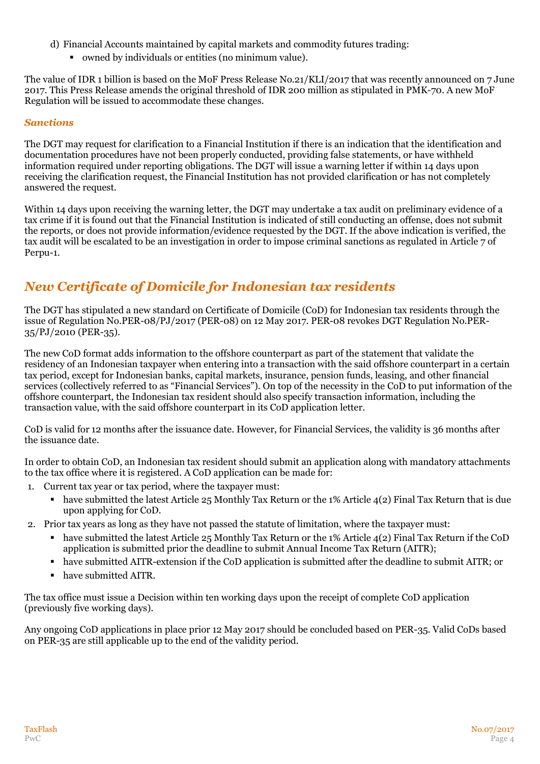- d) Financial Accounts maintained by capital markets and commodity futures trading:
	- owned by individuals or entities (no minimum value).

The value of IDR 1 billion is based on the MoF Press Release No.21/KLI/2017 that was recently announced on 7 June 2017. This Press Release amends the original threshold of IDR 200 million as stipulated in PMK-70. A new MoF Regulation will be issued to accommodate these changes.

#### *Sanctions*

The DGT may request for clarification to a Financial Institution if there is an indication that the identification and documentation procedures have not been properly conducted, providing false statements, or have withheld information required under reporting obligations. The DGT will issue a warning letter if within 14 days upon receiving the clarification request, the Financial Institution has not provided clarification or has not completely answered the request.

Within 14 days upon receiving the warning letter, the DGT may undertake a tax audit on preliminary evidence of a tax crime if it is found out that the Financial Institution is indicated of still conducting an offense, does not submit the reports, or does not provide information/evidence requested by the DGT. If the above indication is verified, the tax audit will be escalated to be an investigation in order to impose criminal sanctions as regulated in Article 7 of Perpu-1.

# *New Certificate of Domicile for Indonesian tax residents*

The DGT has stipulated a new standard on Certificate of Domicile (CoD) for Indonesian tax residents through the issue of Regulation No.PER-08/PJ/2017 (PER-08) on 12 May 2017. PER-08 revokes DGT Regulation No.PER-35/PJ/2010 (PER-35).

The new CoD format adds information to the offshore counterpart as part of the statement that validate the residency of an Indonesian taxpayer when entering into a transaction with the said offshore counterpart in a certain tax period, except for Indonesian banks, capital markets, insurance, pension funds, leasing, and other financial services (collectively referred to as "Financial Services"). On top of the necessity in the CoD to put information of the offshore counterpart, the Indonesian tax resident should also specify transaction information, including the transaction value, with the said offshore counterpart in its CoD application letter.

CoD is valid for 12 months after the issuance date. However, for Financial Services, the validity is 36 months after the issuance date.

In order to obtain CoD, an Indonesian tax resident should submit an application along with mandatory attachments to the tax office where it is registered. A CoD application can be made for:

- 1. Current tax year or tax period, where the taxpayer must:
	- have submitted the latest Article 25 Monthly Tax Return or the 1% Article  $4(2)$  Final Tax Return that is due upon applying for CoD.

2. Prior tax years as long as they have not passed the statute of limitation, where the taxpayer must:

- have submitted the latest Article 25 Monthly Tax Return or the 1% Article 4(2) Final Tax Return if the CoD application is submitted prior the deadline to submit Annual Income Tax Return (AITR);
- have submitted AITR-extension if the CoD application is submitted after the deadline to submit AITR; or
- have submitted AITR.

The tax office must issue a Decision within ten working days upon the receipt of complete CoD application (previously five working days).

Any ongoing CoD applications in place prior 12 May 2017 should be concluded based on PER-35. Valid CoDs based on PER-35 are still applicable up to the end of the validity period.